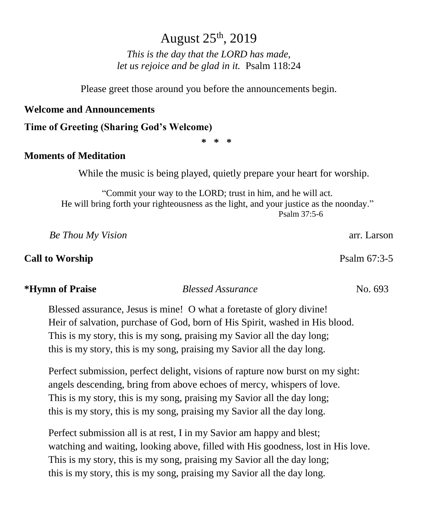# August 25th, 2019

*This is the day that the LORD has made, let us rejoice and be glad in it.* Psalm 118:24

Please greet those around you before the announcements begin.

#### **Welcome and Announcements**

#### **Time of Greeting (Sharing God's Welcome)**

**\* \* \***

#### **Moments of Meditation**

While the music is being played, quietly prepare your heart for worship.

"Commit your way to the LORD; trust in him, and he will act. He will bring forth your righteousness as the light, and your justice as the noonday." Psalm 37:5-6

 *Be Thou My Vision* arr. Larson

### **Call to Worship** Psalm 67:3-5

#### **\*Hymn of Praise** *Blessed Assurance* No. 693

Blessed assurance, Jesus is mine! O what a foretaste of glory divine! Heir of salvation, purchase of God, born of His Spirit, washed in His blood. This is my story, this is my song, praising my Savior all the day long; this is my story, this is my song, praising my Savior all the day long.

Perfect submission, perfect delight, visions of rapture now burst on my sight: angels descending, bring from above echoes of mercy, whispers of love. This is my story, this is my song, praising my Savior all the day long; this is my story, this is my song, praising my Savior all the day long.

Perfect submission all is at rest, I in my Savior am happy and blest; watching and waiting, looking above, filled with His goodness, lost in His love. This is my story, this is my song, praising my Savior all the day long; this is my story, this is my song, praising my Savior all the day long.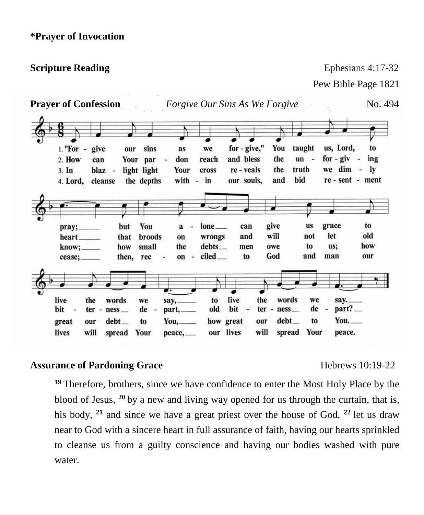**Scripture Reading** Ephesians 4:17-32

Pew Bible Page 1821

| <b>Prayer of Confession</b>                               |                                  |                                                      |                                                    |                                                                         |                                                                     | <i>Forgive Our Sins As We Forgive</i>                                                   |                            |                                     |                                                      | No. 494                                         |
|-----------------------------------------------------------|----------------------------------|------------------------------------------------------|----------------------------------------------------|-------------------------------------------------------------------------|---------------------------------------------------------------------|-----------------------------------------------------------------------------------------|----------------------------|-------------------------------------|------------------------------------------------------|-------------------------------------------------|
| $1.$ "For $-$<br>2. How<br>3. In<br>4. Lord,              | give<br>can<br>blaz -<br>cleanse | our                                                  | sins<br>Your par<br>light light<br>the depths      | as<br>don<br>Your<br>with -                                             | we<br>reach<br>cross<br>in                                          | for - give,"<br>and bless<br>re - veals<br>our souls,                                   | You<br>the<br>the<br>and   | taught<br>$un -$<br>truth<br>bid    | us, Lord,<br>for $-$ giv $-$<br>we dim -             | to<br>ing<br>$\mathbf{I}$ v<br>re - sent - ment |
| pray;<br>heart.<br>know;<br>cease;                        |                                  | but<br>that<br>how<br>then,                          | You<br><b>broods</b><br>small<br>rec               | a<br>on<br>the<br>on<br>$\overline{\phantom{a}}$                        | $lone$ <sub>___</sub><br>wrongs<br>$debts$ <sub>—</sub><br>ciled __ | can<br>and<br>men<br>to                                                                 | give<br>will<br>owe<br>God | <b>us</b><br>not<br>to<br>and       | grace<br>let<br>us;<br>man                           | to<br>old<br>how<br>our                         |
| live<br>bit<br>$\overline{\phantom{a}}$<br>great<br>lives | the<br>$ter -$<br>our<br>will    | words<br>$ness$ <sub>—</sub><br>$debt$ $-$<br>spread | we<br>de<br>$\overline{\phantom{a}}$<br>to<br>Your | say,<br>part, _____<br>$You, \_\_$<br>$peace$ <sub><math>-</math></sub> | to<br>old                                                           | live<br>the<br>bit<br>$\overline{\phantom{m}}$<br>how great<br>our<br>our lives<br>will | words<br>$ter - ness$      | we<br>$debt$ —<br>to<br>spread Your | say.<br>$part?$ —<br>$de -$<br>You. $\_\_$<br>peace. |                                                 |

## Assurance of Pardoning Grace Hebrews 10:19-22

**<sup>19</sup>** Therefore, brothers, since we have confidence to enter the Most Holy Place by the blood of Jesus, **<sup>20</sup>**by a new and living way opened for us through the curtain, that is, his body, **<sup>21</sup>** and since we have a great priest over the house of God, **<sup>22</sup>**let us draw near to God with a sincere heart in full assurance of faith, having our hearts sprinkled to cleanse us from a guilty conscience and having our bodies washed with pure water.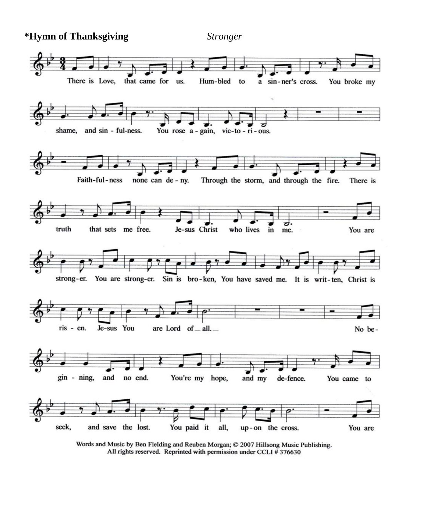**\*Hymn of Thanksgiving** *Stronger* 



Words and Music by Ben Fielding and Reuben Morgan; © 2007 Hillsong Music Publishing. All rights reserved. Reprinted with permission under CCLI #376630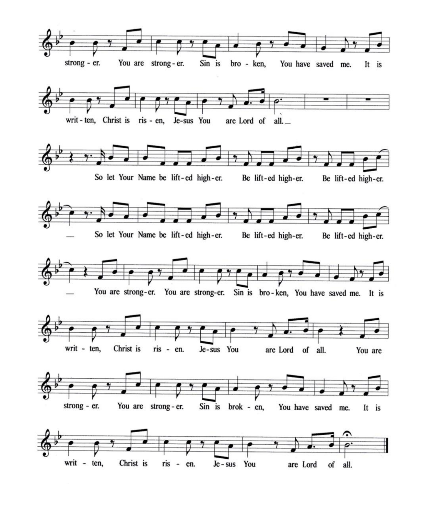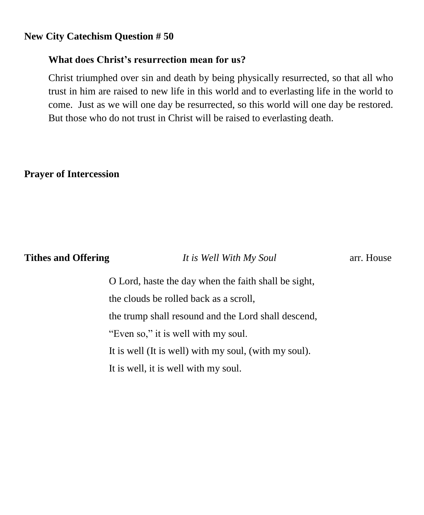### **New City Catechism Question # 50**

### **What does Christ's resurrection mean for us?**

Christ triumphed over sin and death by being physically resurrected, so that all who trust in him are raised to new life in this world and to everlasting life in the world to come. Just as we will one day be resurrected, so this world will one day be restored. But those who do not trust in Christ will be raised to everlasting death.

### **Prayer of Intercession**

**Tithes and Offering** *It is Well With My Soul* arr. House

O Lord, haste the day when the faith shall be sight, the clouds be rolled back as a scroll, the trump shall resound and the Lord shall descend, "Even so," it is well with my soul. It is well (It is well) with my soul, (with my soul). It is well, it is well with my soul.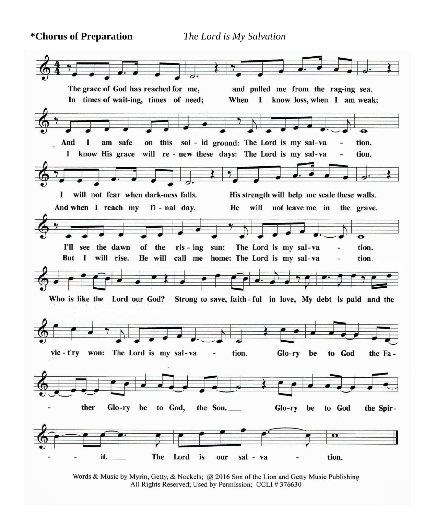**\*Chorus of Preparation** *The Lord is My Salvation*



Words & Music by Myrin, Getty, & Nockels; @ 2016 Son of the Lion and Getty Music Publishing All Rights Reserved; Used by Permission; CCLI #376630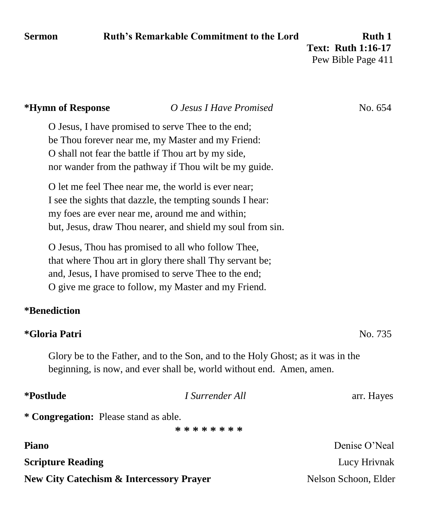# **Sermon** Ruth's Remarkable Commitment to the Lord Ruth 1

 **Text: Ruth 1:16-17** Pew Bible Page 411

| O Jesus I Have Promised                                                                                                                                                                                                           | No. 654              |  |  |  |  |  |
|-----------------------------------------------------------------------------------------------------------------------------------------------------------------------------------------------------------------------------------|----------------------|--|--|--|--|--|
| O Jesus, I have promised to serve Thee to the end;<br>be Thou forever near me, my Master and my Friend:<br>O shall not fear the battle if Thou art by my side,<br>nor wander from the pathway if Thou wilt be my guide.           |                      |  |  |  |  |  |
| O let me feel Thee near me, the world is ever near;<br>I see the sights that dazzle, the tempting sounds I hear:<br>my foes are ever near me, around me and within;<br>but, Jesus, draw Thou nearer, and shield my soul from sin. |                      |  |  |  |  |  |
| O Jesus, Thou has promised to all who follow Thee,<br>that where Thou art in glory there shall Thy servant be;<br>and, Jesus, I have promised to serve Thee to the end;<br>O give me grace to follow, my Master and my Friend.    |                      |  |  |  |  |  |
|                                                                                                                                                                                                                                   |                      |  |  |  |  |  |
|                                                                                                                                                                                                                                   | No. 735              |  |  |  |  |  |
| Glory be to the Father, and to the Son, and to the Holy Ghost; as it was in the<br>beginning, is now, and ever shall be, world without end. Amen, amen.                                                                           |                      |  |  |  |  |  |
| I Surrender All                                                                                                                                                                                                                   | arr. Hayes           |  |  |  |  |  |
| * Congregation: Please stand as able.<br>* * * * * * * *                                                                                                                                                                          |                      |  |  |  |  |  |
|                                                                                                                                                                                                                                   | Denise O'Neal        |  |  |  |  |  |
|                                                                                                                                                                                                                                   | Lucy Hrivnak         |  |  |  |  |  |
| <b>New City Catechism &amp; Intercessory Prayer</b>                                                                                                                                                                               | Nelson Schoon, Elder |  |  |  |  |  |
|                                                                                                                                                                                                                                   |                      |  |  |  |  |  |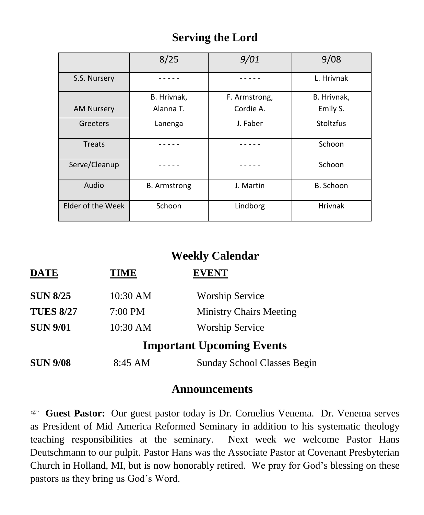# **Serving the Lord**

|                   | 8/25                | 9/01          | 9/08             |  |
|-------------------|---------------------|---------------|------------------|--|
| S.S. Nursery      |                     |               | L. Hrivnak       |  |
|                   | B. Hrivnak,         | F. Armstrong, | B. Hrivnak,      |  |
| <b>AM Nursery</b> | Alanna T.           | Cordie A.     | Emily S.         |  |
| Greeters          | Lanenga             | J. Faber      | <b>Stoltzfus</b> |  |
| Treats            |                     |               | Schoon           |  |
| Serve/Cleanup     |                     |               | Schoon           |  |
| Audio             | <b>B.</b> Armstrong | J. Martin     | B. Schoon        |  |
| Elder of the Week | Schoon              | Lindborg      | <b>Hrivnak</b>   |  |

## **Weekly Calendar**

| DATE             | <b>TIME</b> | <b>EVENT</b>                       |
|------------------|-------------|------------------------------------|
| <b>SUN 8/25</b>  | 10:30 AM    | <b>Worship Service</b>             |
| <b>TUES 8/27</b> | 7:00 PM     | <b>Ministry Chairs Meeting</b>     |
| <b>SUN 9/01</b>  | 10:30 AM    | <b>Worship Service</b>             |
|                  |             | <b>Important Upcoming Events</b>   |
| <b>SUN 9/08</b>  | 8:45 AM     | <b>Sunday School Classes Begin</b> |

# **Announcements**

 **Guest Pastor:** Our guest pastor today is Dr. Cornelius Venema. Dr. Venema serves as President of Mid America Reformed Seminary in addition to his systematic theology teaching responsibilities at the seminary. Next week we welcome Pastor Hans Deutschmann to our pulpit. Pastor Hans was the Associate Pastor at Covenant Presbyterian Church in Holland, MI, but is now honorably retired. We pray for God's blessing on these pastors as they bring us God's Word.